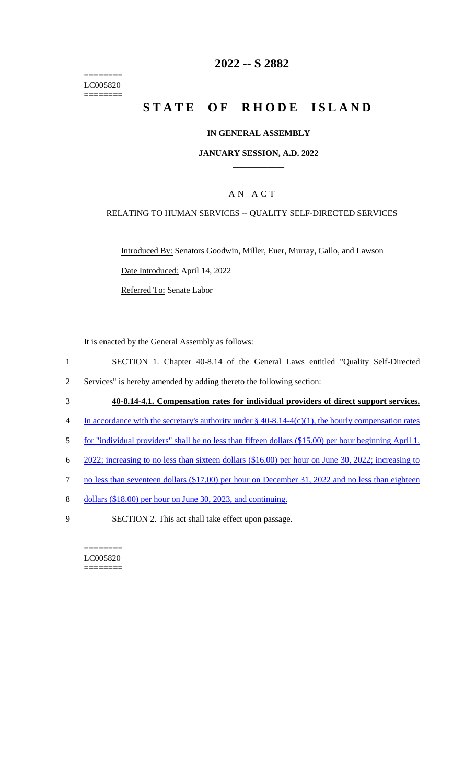======== LC005820 ========

# **2022 -- S 2882**

# **STATE OF RHODE ISLAND**

#### **IN GENERAL ASSEMBLY**

#### **JANUARY SESSION, A.D. 2022 \_\_\_\_\_\_\_\_\_\_\_\_**

# A N A C T

#### RELATING TO HUMAN SERVICES -- QUALITY SELF-DIRECTED SERVICES

Introduced By: Senators Goodwin, Miller, Euer, Murray, Gallo, and Lawson Date Introduced: April 14, 2022 Referred To: Senate Labor

It is enacted by the General Assembly as follows:

- 1 SECTION 1. Chapter 40-8.14 of the General Laws entitled "Quality Self-Directed
- 2 Services" is hereby amended by adding thereto the following section:
- 3 **40-8.14-4.1. Compensation rates for individual providers of direct support services.**
- 4 In accordance with the secretary's authority under § 40-8.14-4(c)(1), the hourly compensation rates
- 5 for "individual providers" shall be no less than fifteen dollars (\$15.00) per hour beginning April 1,
- 6 2022; increasing to no less than sixteen dollars (\$16.00) per hour on June 30, 2022; increasing to
- 7 no less than seventeen dollars (\$17.00) per hour on December 31, 2022 and no less than eighteen
- 8 dollars (\$18.00) per hour on June 30, 2023, and continuing.
- 9 SECTION 2. This act shall take effect upon passage.

======== LC005820 ========